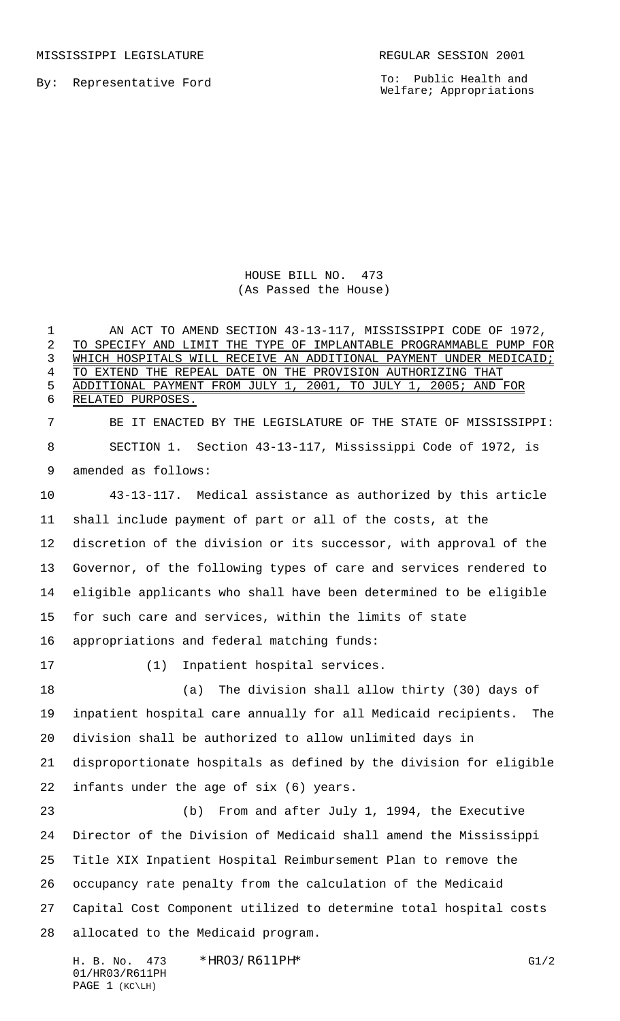MISSISSIPPI LEGISLATURE **REGULAR SESSION 2001** 

By: Representative Ford

To: Public Health and Welfare; Appropriations

HOUSE BILL NO. 473 (As Passed the House)

1 AN ACT TO AMEND SECTION 43-13-117, MISSISSIPPI CODE OF 1972, TO SPECIFY AND LIMIT THE TYPE OF IMPLANTABLE PROGRAMMABLE PUMP FOR 3 WHICH HOSPITALS WILL RECEIVE AN ADDITIONAL PAYMENT UNDER MEDICAID; TO EXTEND THE REPEAL DATE ON THE PROVISION AUTHORIZING THAT ADDITIONAL PAYMENT FROM JULY 1, 2001, TO JULY 1, 2005; AND FOR RELATED PURPOSES. BE IT ENACTED BY THE LEGISLATURE OF THE STATE OF MISSISSIPPI: SECTION 1. Section 43-13-117, Mississippi Code of 1972, is amended as follows: 43-13-117. Medical assistance as authorized by this article shall include payment of part or all of the costs, at the discretion of the division or its successor, with approval of the Governor, of the following types of care and services rendered to eligible applicants who shall have been determined to be eligible for such care and services, within the limits of state appropriations and federal matching funds: (1) Inpatient hospital services. (a) The division shall allow thirty (30) days of inpatient hospital care annually for all Medicaid recipients. The division shall be authorized to allow unlimited days in disproportionate hospitals as defined by the division for eligible infants under the age of six (6) years. (b) From and after July 1, 1994, the Executive Director of the Division of Medicaid shall amend the Mississippi Title XIX Inpatient Hospital Reimbursement Plan to remove the occupancy rate penalty from the calculation of the Medicaid Capital Cost Component utilized to determine total hospital costs allocated to the Medicaid program.

H. B. No. 473 \*HR03/R611PH\* G1/2 01/HR03/R611PH PAGE 1 (KC\LH)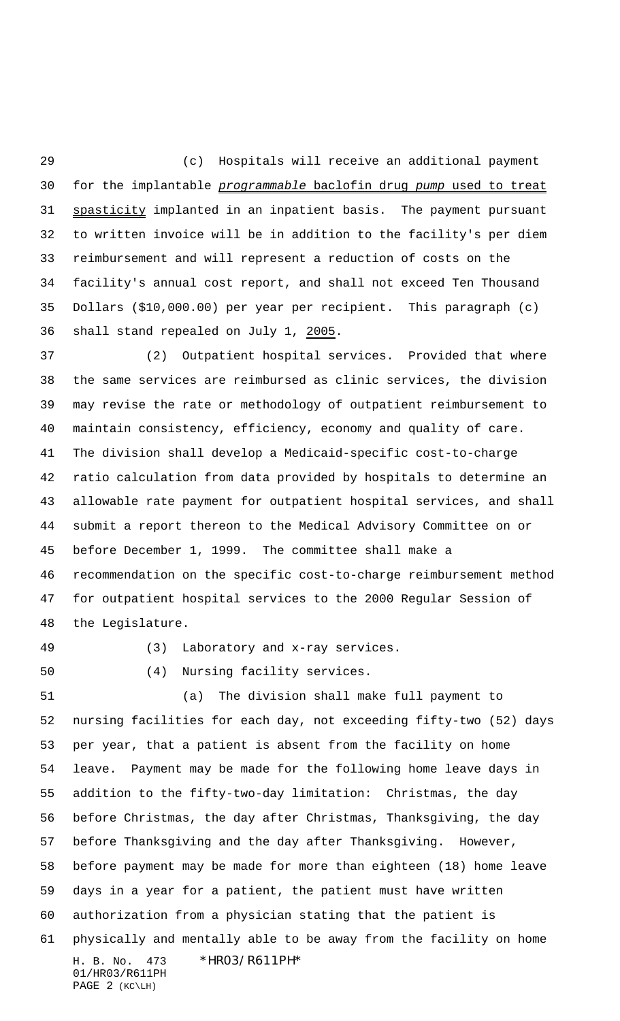(c) Hospitals will receive an additional payment 30 for the implantable programmable baclofin drug pump used to treat spasticity implanted in an inpatient basis. The payment pursuant to written invoice will be in addition to the facility's per diem reimbursement and will represent a reduction of costs on the facility's annual cost report, and shall not exceed Ten Thousand Dollars (\$10,000.00) per year per recipient. This paragraph (c) shall stand repealed on July 1, 2005.

 (2) Outpatient hospital services. Provided that where the same services are reimbursed as clinic services, the division may revise the rate or methodology of outpatient reimbursement to maintain consistency, efficiency, economy and quality of care. The division shall develop a Medicaid-specific cost-to-charge ratio calculation from data provided by hospitals to determine an allowable rate payment for outpatient hospital services, and shall submit a report thereon to the Medical Advisory Committee on or before December 1, 1999. The committee shall make a recommendation on the specific cost-to-charge reimbursement method for outpatient hospital services to the 2000 Regular Session of the Legislature.

(3) Laboratory and x-ray services.

(4) Nursing facility services.

H. B. No. 473 \*HR03/R611PH\* 01/HR03/R611PH PAGE 2 (KC\LH) (a) The division shall make full payment to nursing facilities for each day, not exceeding fifty-two (52) days per year, that a patient is absent from the facility on home leave. Payment may be made for the following home leave days in addition to the fifty-two-day limitation: Christmas, the day before Christmas, the day after Christmas, Thanksgiving, the day before Thanksgiving and the day after Thanksgiving. However, before payment may be made for more than eighteen (18) home leave days in a year for a patient, the patient must have written authorization from a physician stating that the patient is physically and mentally able to be away from the facility on home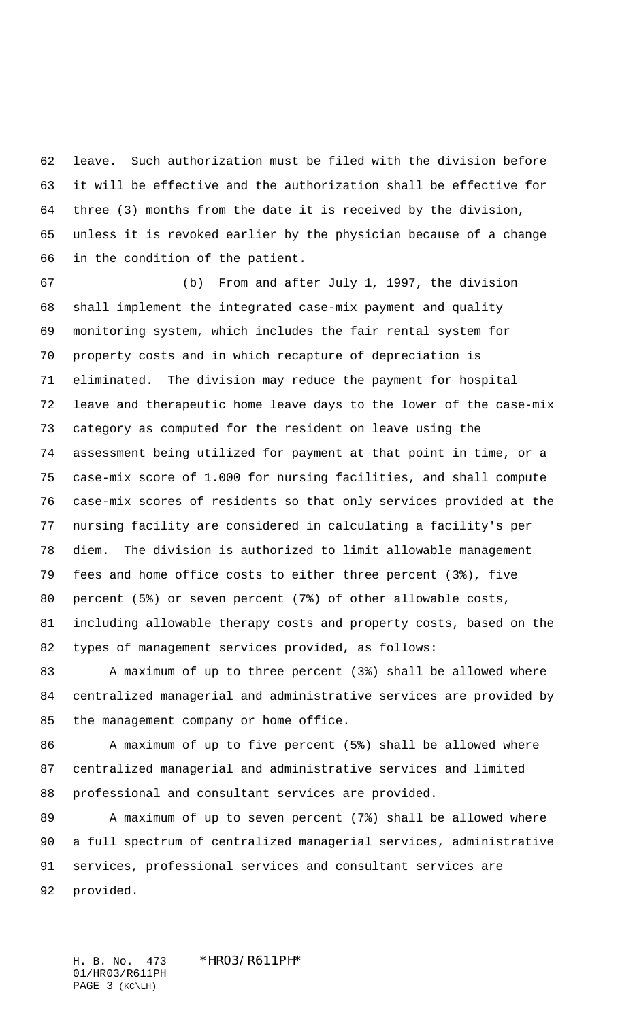leave. Such authorization must be filed with the division before it will be effective and the authorization shall be effective for three (3) months from the date it is received by the division, unless it is revoked earlier by the physician because of a change in the condition of the patient.

 (b) From and after July 1, 1997, the division shall implement the integrated case-mix payment and quality monitoring system, which includes the fair rental system for property costs and in which recapture of depreciation is eliminated. The division may reduce the payment for hospital leave and therapeutic home leave days to the lower of the case-mix category as computed for the resident on leave using the assessment being utilized for payment at that point in time, or a case-mix score of 1.000 for nursing facilities, and shall compute case-mix scores of residents so that only services provided at the nursing facility are considered in calculating a facility's per diem. The division is authorized to limit allowable management fees and home office costs to either three percent (3%), five percent (5%) or seven percent (7%) of other allowable costs, including allowable therapy costs and property costs, based on the types of management services provided, as follows:

 A maximum of up to three percent (3%) shall be allowed where centralized managerial and administrative services are provided by the management company or home office.

86 A maximum of up to five percent (5%) shall be allowed where centralized managerial and administrative services and limited professional and consultant services are provided.

89 A maximum of up to seven percent (7%) shall be allowed where a full spectrum of centralized managerial services, administrative services, professional services and consultant services are provided.

H. B. No. 473 \*HR03/R611PH\* 01/HR03/R611PH PAGE 3 (KC\LH)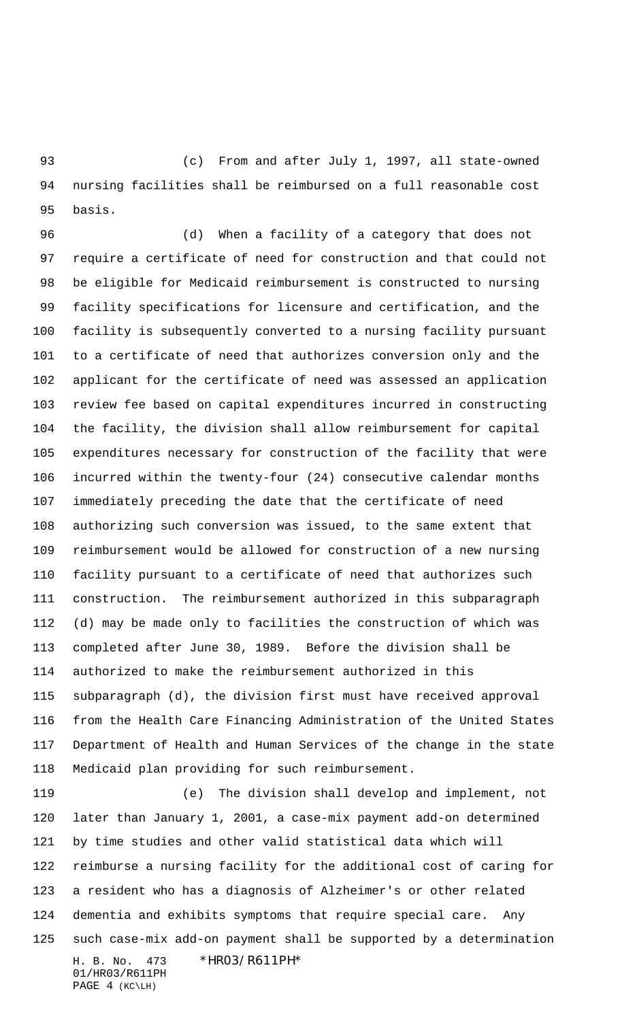(c) From and after July 1, 1997, all state-owned nursing facilities shall be reimbursed on a full reasonable cost basis.

 (d) When a facility of a category that does not require a certificate of need for construction and that could not be eligible for Medicaid reimbursement is constructed to nursing facility specifications for licensure and certification, and the facility is subsequently converted to a nursing facility pursuant to a certificate of need that authorizes conversion only and the applicant for the certificate of need was assessed an application review fee based on capital expenditures incurred in constructing the facility, the division shall allow reimbursement for capital expenditures necessary for construction of the facility that were incurred within the twenty-four (24) consecutive calendar months immediately preceding the date that the certificate of need authorizing such conversion was issued, to the same extent that reimbursement would be allowed for construction of a new nursing facility pursuant to a certificate of need that authorizes such construction. The reimbursement authorized in this subparagraph (d) may be made only to facilities the construction of which was completed after June 30, 1989. Before the division shall be authorized to make the reimbursement authorized in this subparagraph (d), the division first must have received approval from the Health Care Financing Administration of the United States Department of Health and Human Services of the change in the state Medicaid plan providing for such reimbursement.

H. B. No. 473 \*HR03/R611PH\* (e) The division shall develop and implement, not later than January 1, 2001, a case-mix payment add-on determined by time studies and other valid statistical data which will reimburse a nursing facility for the additional cost of caring for a resident who has a diagnosis of Alzheimer's or other related dementia and exhibits symptoms that require special care. Any such case-mix add-on payment shall be supported by a determination

```
01/HR03/R611PH
PAGE 4 (KC\LH)
```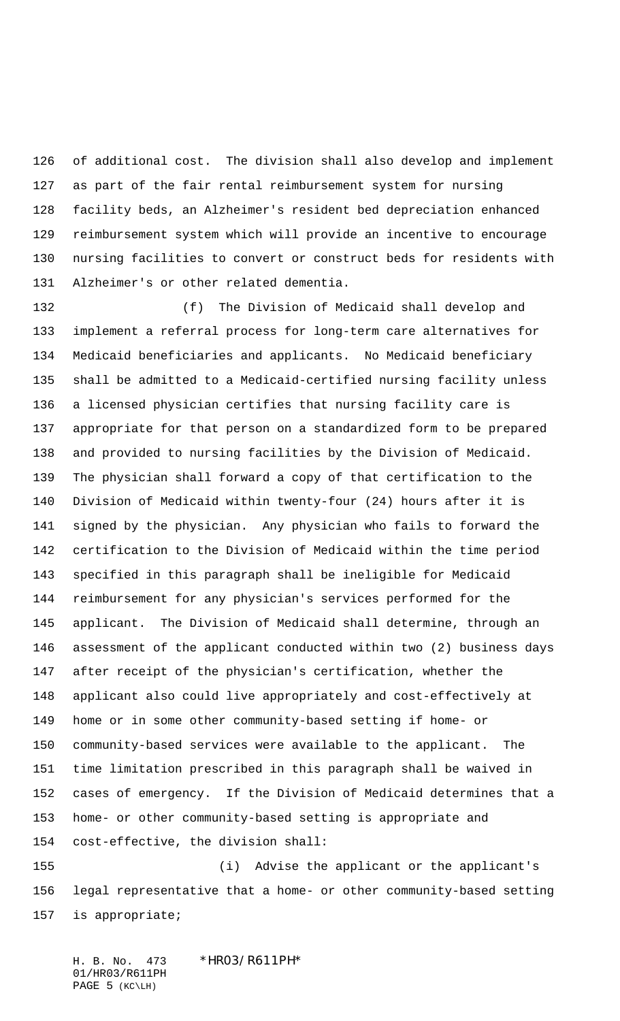of additional cost. The division shall also develop and implement as part of the fair rental reimbursement system for nursing facility beds, an Alzheimer's resident bed depreciation enhanced reimbursement system which will provide an incentive to encourage nursing facilities to convert or construct beds for residents with Alzheimer's or other related dementia.

 (f) The Division of Medicaid shall develop and implement a referral process for long-term care alternatives for Medicaid beneficiaries and applicants. No Medicaid beneficiary shall be admitted to a Medicaid-certified nursing facility unless a licensed physician certifies that nursing facility care is appropriate for that person on a standardized form to be prepared and provided to nursing facilities by the Division of Medicaid. The physician shall forward a copy of that certification to the Division of Medicaid within twenty-four (24) hours after it is signed by the physician. Any physician who fails to forward the certification to the Division of Medicaid within the time period specified in this paragraph shall be ineligible for Medicaid reimbursement for any physician's services performed for the applicant. The Division of Medicaid shall determine, through an assessment of the applicant conducted within two (2) business days after receipt of the physician's certification, whether the applicant also could live appropriately and cost-effectively at home or in some other community-based setting if home- or community-based services were available to the applicant. The time limitation prescribed in this paragraph shall be waived in cases of emergency. If the Division of Medicaid determines that a home- or other community-based setting is appropriate and cost-effective, the division shall:

 (i) Advise the applicant or the applicant's legal representative that a home- or other community-based setting is appropriate;

H. B. No. 473 \*HR03/R611PH\* 01/HR03/R611PH PAGE 5 (KC\LH)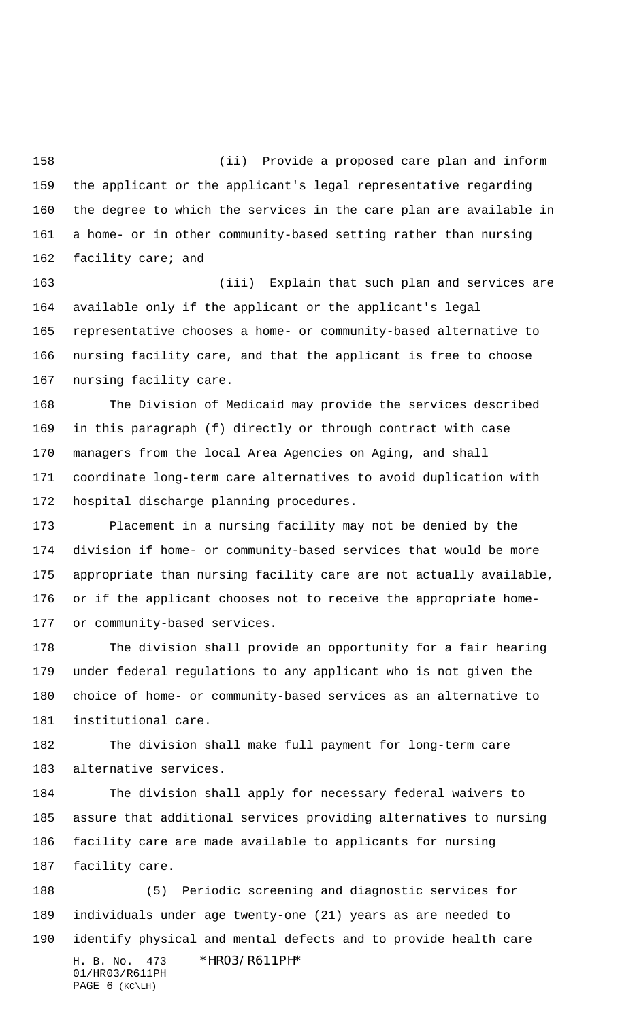(ii) Provide a proposed care plan and inform the applicant or the applicant's legal representative regarding the degree to which the services in the care plan are available in a home- or in other community-based setting rather than nursing facility care; and

 (iii) Explain that such plan and services are available only if the applicant or the applicant's legal representative chooses a home- or community-based alternative to nursing facility care, and that the applicant is free to choose nursing facility care.

 The Division of Medicaid may provide the services described in this paragraph (f) directly or through contract with case managers from the local Area Agencies on Aging, and shall coordinate long-term care alternatives to avoid duplication with hospital discharge planning procedures.

 Placement in a nursing facility may not be denied by the division if home- or community-based services that would be more appropriate than nursing facility care are not actually available, or if the applicant chooses not to receive the appropriate home-or community-based services.

 The division shall provide an opportunity for a fair hearing under federal regulations to any applicant who is not given the choice of home- or community-based services as an alternative to institutional care.

 The division shall make full payment for long-term care alternative services.

 The division shall apply for necessary federal waivers to assure that additional services providing alternatives to nursing facility care are made available to applicants for nursing facility care.

H. B. No. 473 \*HR03/R611PH\* 01/HR03/R611PH PAGE 6 (KC\LH) (5) Periodic screening and diagnostic services for individuals under age twenty-one (21) years as are needed to identify physical and mental defects and to provide health care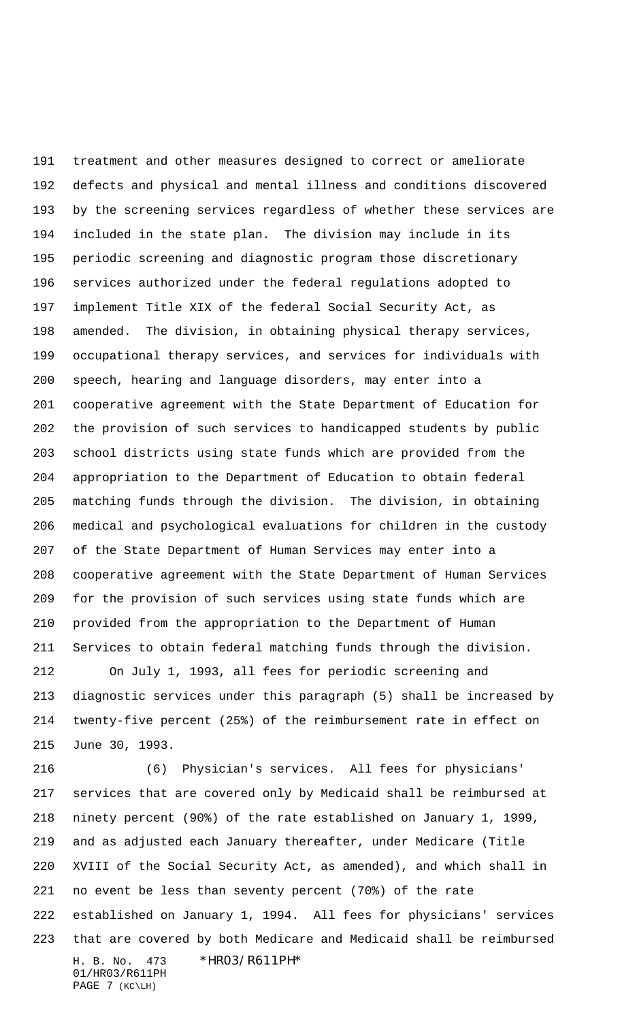treatment and other measures designed to correct or ameliorate defects and physical and mental illness and conditions discovered by the screening services regardless of whether these services are included in the state plan. The division may include in its periodic screening and diagnostic program those discretionary services authorized under the federal regulations adopted to implement Title XIX of the federal Social Security Act, as amended. The division, in obtaining physical therapy services, occupational therapy services, and services for individuals with speech, hearing and language disorders, may enter into a cooperative agreement with the State Department of Education for the provision of such services to handicapped students by public school districts using state funds which are provided from the appropriation to the Department of Education to obtain federal matching funds through the division. The division, in obtaining medical and psychological evaluations for children in the custody of the State Department of Human Services may enter into a cooperative agreement with the State Department of Human Services for the provision of such services using state funds which are provided from the appropriation to the Department of Human Services to obtain federal matching funds through the division.

 On July 1, 1993, all fees for periodic screening and diagnostic services under this paragraph (5) shall be increased by twenty-five percent (25%) of the reimbursement rate in effect on June 30, 1993.

H. B. No. 473 \*HR03/R611PH\* 01/HR03/R611PH (6) Physician's services. All fees for physicians' services that are covered only by Medicaid shall be reimbursed at ninety percent (90%) of the rate established on January 1, 1999, and as adjusted each January thereafter, under Medicare (Title XVIII of the Social Security Act, as amended), and which shall in no event be less than seventy percent (70%) of the rate established on January 1, 1994. All fees for physicians' services that are covered by both Medicare and Medicaid shall be reimbursed

PAGE 7 (KC\LH)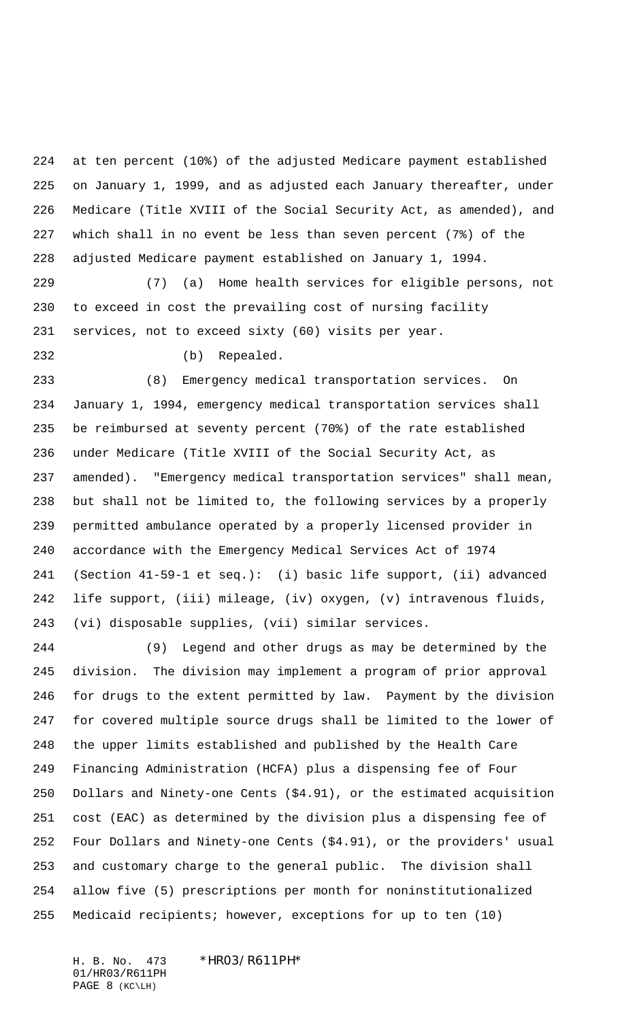at ten percent (10%) of the adjusted Medicare payment established on January 1, 1999, and as adjusted each January thereafter, under Medicare (Title XVIII of the Social Security Act, as amended), and which shall in no event be less than seven percent (7%) of the adjusted Medicare payment established on January 1, 1994.

 (7) (a) Home health services for eligible persons, not to exceed in cost the prevailing cost of nursing facility services, not to exceed sixty (60) visits per year.

(b) Repealed.

 (8) Emergency medical transportation services. On January 1, 1994, emergency medical transportation services shall be reimbursed at seventy percent (70%) of the rate established under Medicare (Title XVIII of the Social Security Act, as amended). "Emergency medical transportation services" shall mean, but shall not be limited to, the following services by a properly permitted ambulance operated by a properly licensed provider in accordance with the Emergency Medical Services Act of 1974 (Section 41-59-1 et seq.): (i) basic life support, (ii) advanced life support, (iii) mileage, (iv) oxygen, (v) intravenous fluids, (vi) disposable supplies, (vii) similar services.

 (9) Legend and other drugs as may be determined by the division. The division may implement a program of prior approval for drugs to the extent permitted by law. Payment by the division for covered multiple source drugs shall be limited to the lower of the upper limits established and published by the Health Care Financing Administration (HCFA) plus a dispensing fee of Four Dollars and Ninety-one Cents (\$4.91), or the estimated acquisition cost (EAC) as determined by the division plus a dispensing fee of Four Dollars and Ninety-one Cents (\$4.91), or the providers' usual and customary charge to the general public. The division shall allow five (5) prescriptions per month for noninstitutionalized Medicaid recipients; however, exceptions for up to ten (10)

H. B. No. 473 \*HR03/R611PH\* 01/HR03/R611PH PAGE 8 (KC\LH)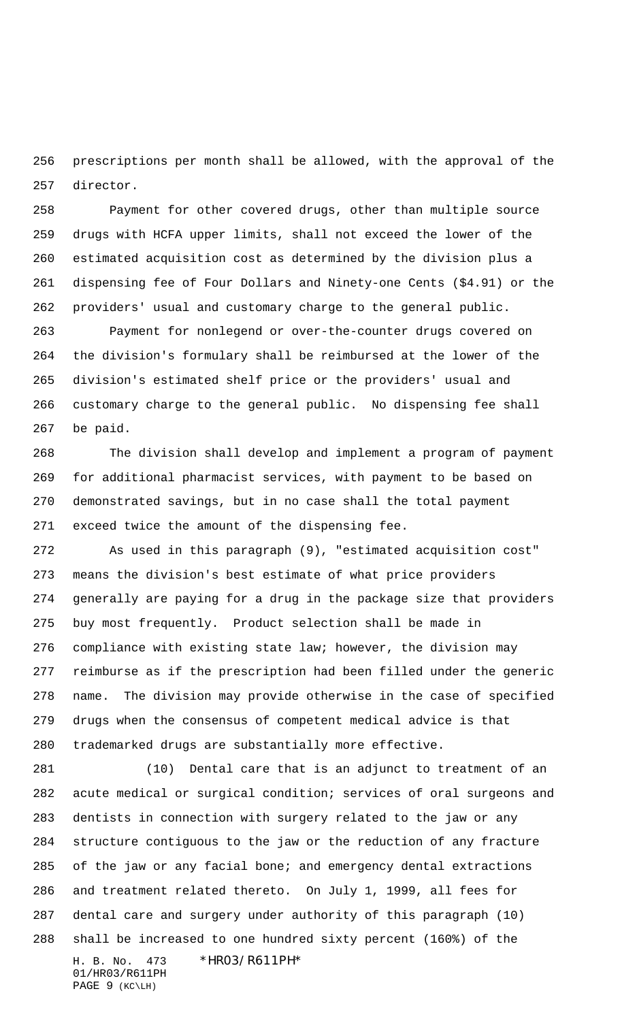prescriptions per month shall be allowed, with the approval of the director.

 Payment for other covered drugs, other than multiple source drugs with HCFA upper limits, shall not exceed the lower of the estimated acquisition cost as determined by the division plus a dispensing fee of Four Dollars and Ninety-one Cents (\$4.91) or the providers' usual and customary charge to the general public.

 Payment for nonlegend or over-the-counter drugs covered on the division's formulary shall be reimbursed at the lower of the division's estimated shelf price or the providers' usual and customary charge to the general public. No dispensing fee shall be paid.

 The division shall develop and implement a program of payment for additional pharmacist services, with payment to be based on demonstrated savings, but in no case shall the total payment exceed twice the amount of the dispensing fee.

 As used in this paragraph (9), "estimated acquisition cost" means the division's best estimate of what price providers generally are paying for a drug in the package size that providers buy most frequently. Product selection shall be made in compliance with existing state law; however, the division may reimburse as if the prescription had been filled under the generic name. The division may provide otherwise in the case of specified drugs when the consensus of competent medical advice is that trademarked drugs are substantially more effective.

H. B. No. 473 \*HR03/R611PH\* 01/HR03/R611PH (10) Dental care that is an adjunct to treatment of an acute medical or surgical condition; services of oral surgeons and dentists in connection with surgery related to the jaw or any structure contiguous to the jaw or the reduction of any fracture of the jaw or any facial bone; and emergency dental extractions and treatment related thereto. On July 1, 1999, all fees for dental care and surgery under authority of this paragraph (10) shall be increased to one hundred sixty percent (160%) of the

PAGE 9 (KC\LH)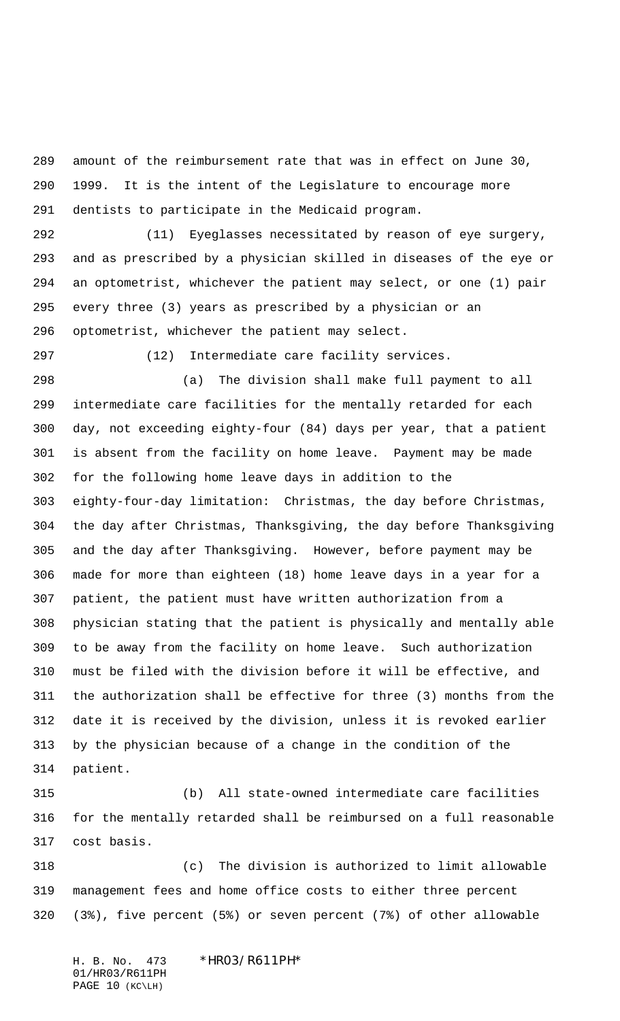amount of the reimbursement rate that was in effect on June 30, 1999. It is the intent of the Legislature to encourage more dentists to participate in the Medicaid program.

 (11) Eyeglasses necessitated by reason of eye surgery, and as prescribed by a physician skilled in diseases of the eye or an optometrist, whichever the patient may select, or one (1) pair every three (3) years as prescribed by a physician or an optometrist, whichever the patient may select.

(12) Intermediate care facility services.

 (a) The division shall make full payment to all intermediate care facilities for the mentally retarded for each day, not exceeding eighty-four (84) days per year, that a patient is absent from the facility on home leave. Payment may be made for the following home leave days in addition to the eighty-four-day limitation: Christmas, the day before Christmas, the day after Christmas, Thanksgiving, the day before Thanksgiving and the day after Thanksgiving. However, before payment may be made for more than eighteen (18) home leave days in a year for a patient, the patient must have written authorization from a physician stating that the patient is physically and mentally able to be away from the facility on home leave. Such authorization must be filed with the division before it will be effective, and the authorization shall be effective for three (3) months from the date it is received by the division, unless it is revoked earlier by the physician because of a change in the condition of the patient.

 (b) All state-owned intermediate care facilities for the mentally retarded shall be reimbursed on a full reasonable cost basis.

 (c) The division is authorized to limit allowable management fees and home office costs to either three percent (3%), five percent (5%) or seven percent (7%) of other allowable

H. B. No. 473 \*HR03/R611PH\* 01/HR03/R611PH PAGE 10 (KC\LH)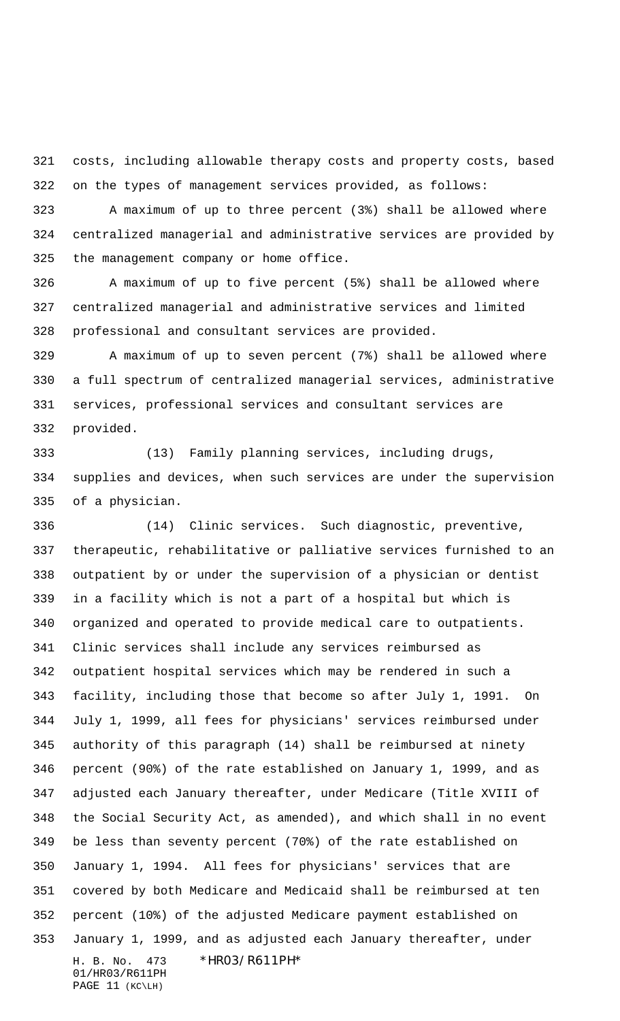costs, including allowable therapy costs and property costs, based on the types of management services provided, as follows:

 A maximum of up to three percent (3%) shall be allowed where centralized managerial and administrative services are provided by the management company or home office.

 A maximum of up to five percent (5%) shall be allowed where centralized managerial and administrative services and limited professional and consultant services are provided.

 A maximum of up to seven percent (7%) shall be allowed where a full spectrum of centralized managerial services, administrative services, professional services and consultant services are provided.

 (13) Family planning services, including drugs, supplies and devices, when such services are under the supervision of a physician.

H. B. No. 473 \*HR03/R611PH\* 01/HR03/R611PH (14) Clinic services. Such diagnostic, preventive, therapeutic, rehabilitative or palliative services furnished to an outpatient by or under the supervision of a physician or dentist in a facility which is not a part of a hospital but which is organized and operated to provide medical care to outpatients. Clinic services shall include any services reimbursed as outpatient hospital services which may be rendered in such a facility, including those that become so after July 1, 1991. On July 1, 1999, all fees for physicians' services reimbursed under authority of this paragraph (14) shall be reimbursed at ninety percent (90%) of the rate established on January 1, 1999, and as adjusted each January thereafter, under Medicare (Title XVIII of the Social Security Act, as amended), and which shall in no event be less than seventy percent (70%) of the rate established on January 1, 1994. All fees for physicians' services that are covered by both Medicare and Medicaid shall be reimbursed at ten percent (10%) of the adjusted Medicare payment established on January 1, 1999, and as adjusted each January thereafter, under

```
PAGE 11 (KC\LH)
```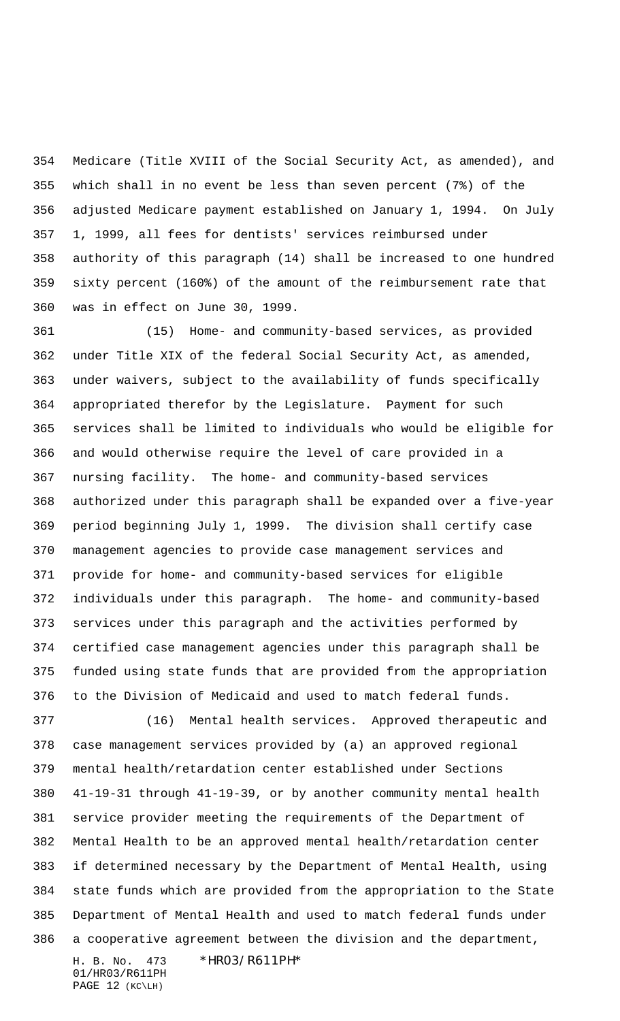Medicare (Title XVIII of the Social Security Act, as amended), and which shall in no event be less than seven percent (7%) of the adjusted Medicare payment established on January 1, 1994. On July 1, 1999, all fees for dentists' services reimbursed under authority of this paragraph (14) shall be increased to one hundred sixty percent (160%) of the amount of the reimbursement rate that was in effect on June 30, 1999.

 (15) Home- and community-based services, as provided under Title XIX of the federal Social Security Act, as amended, under waivers, subject to the availability of funds specifically appropriated therefor by the Legislature. Payment for such services shall be limited to individuals who would be eligible for and would otherwise require the level of care provided in a nursing facility. The home- and community-based services authorized under this paragraph shall be expanded over a five-year period beginning July 1, 1999. The division shall certify case management agencies to provide case management services and provide for home- and community-based services for eligible individuals under this paragraph. The home- and community-based services under this paragraph and the activities performed by certified case management agencies under this paragraph shall be funded using state funds that are provided from the appropriation to the Division of Medicaid and used to match federal funds.

 (16) Mental health services. Approved therapeutic and case management services provided by (a) an approved regional mental health/retardation center established under Sections 41-19-31 through 41-19-39, or by another community mental health service provider meeting the requirements of the Department of Mental Health to be an approved mental health/retardation center if determined necessary by the Department of Mental Health, using state funds which are provided from the appropriation to the State Department of Mental Health and used to match federal funds under a cooperative agreement between the division and the department,

H. B. No. 473 \*HR03/R611PH\* 01/HR03/R611PH PAGE 12 (KC\LH)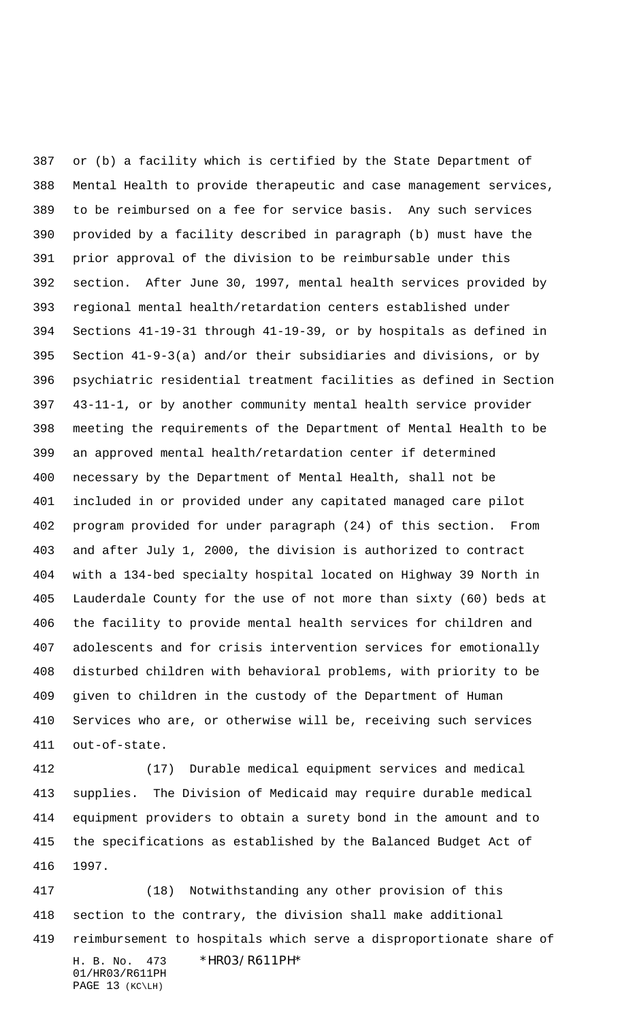or (b) a facility which is certified by the State Department of Mental Health to provide therapeutic and case management services, to be reimbursed on a fee for service basis. Any such services provided by a facility described in paragraph (b) must have the prior approval of the division to be reimbursable under this section. After June 30, 1997, mental health services provided by regional mental health/retardation centers established under Sections 41-19-31 through 41-19-39, or by hospitals as defined in Section 41-9-3(a) and/or their subsidiaries and divisions, or by psychiatric residential treatment facilities as defined in Section 43-11-1, or by another community mental health service provider meeting the requirements of the Department of Mental Health to be an approved mental health/retardation center if determined necessary by the Department of Mental Health, shall not be included in or provided under any capitated managed care pilot program provided for under paragraph (24) of this section. From and after July 1, 2000, the division is authorized to contract with a 134-bed specialty hospital located on Highway 39 North in Lauderdale County for the use of not more than sixty (60) beds at the facility to provide mental health services for children and adolescents and for crisis intervention services for emotionally disturbed children with behavioral problems, with priority to be given to children in the custody of the Department of Human Services who are, or otherwise will be, receiving such services out-of-state.

 (17) Durable medical equipment services and medical supplies. The Division of Medicaid may require durable medical equipment providers to obtain a surety bond in the amount and to the specifications as established by the Balanced Budget Act of 1997.

H. B. No. 473 \*HR03/R611PH\* 01/HR03/R611PH PAGE 13 (KC\LH) (18) Notwithstanding any other provision of this section to the contrary, the division shall make additional reimbursement to hospitals which serve a disproportionate share of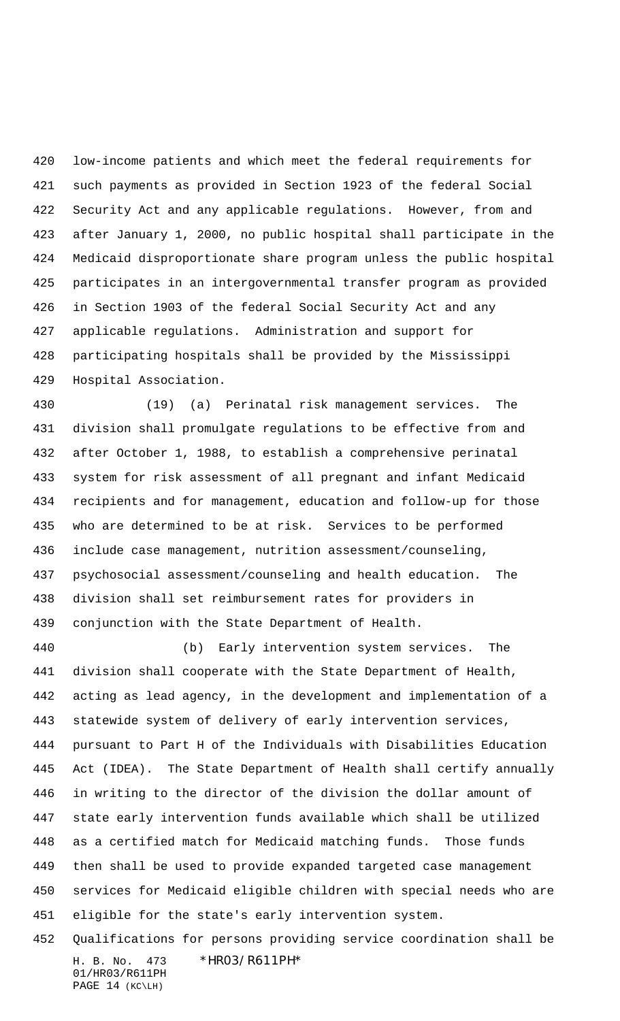low-income patients and which meet the federal requirements for such payments as provided in Section 1923 of the federal Social Security Act and any applicable regulations. However, from and after January 1, 2000, no public hospital shall participate in the Medicaid disproportionate share program unless the public hospital participates in an intergovernmental transfer program as provided in Section 1903 of the federal Social Security Act and any applicable regulations. Administration and support for participating hospitals shall be provided by the Mississippi Hospital Association.

 (19) (a) Perinatal risk management services. The division shall promulgate regulations to be effective from and after October 1, 1988, to establish a comprehensive perinatal system for risk assessment of all pregnant and infant Medicaid recipients and for management, education and follow-up for those who are determined to be at risk. Services to be performed include case management, nutrition assessment/counseling, psychosocial assessment/counseling and health education. The division shall set reimbursement rates for providers in conjunction with the State Department of Health.

 (b) Early intervention system services. The division shall cooperate with the State Department of Health, acting as lead agency, in the development and implementation of a statewide system of delivery of early intervention services, pursuant to Part H of the Individuals with Disabilities Education Act (IDEA). The State Department of Health shall certify annually in writing to the director of the division the dollar amount of state early intervention funds available which shall be utilized as a certified match for Medicaid matching funds. Those funds then shall be used to provide expanded targeted case management services for Medicaid eligible children with special needs who are eligible for the state's early intervention system.

H. B. No. 473 \*HR03/R611PH\* 01/HR03/R611PH Qualifications for persons providing service coordination shall be

```
PAGE 14 (KC\LH)
```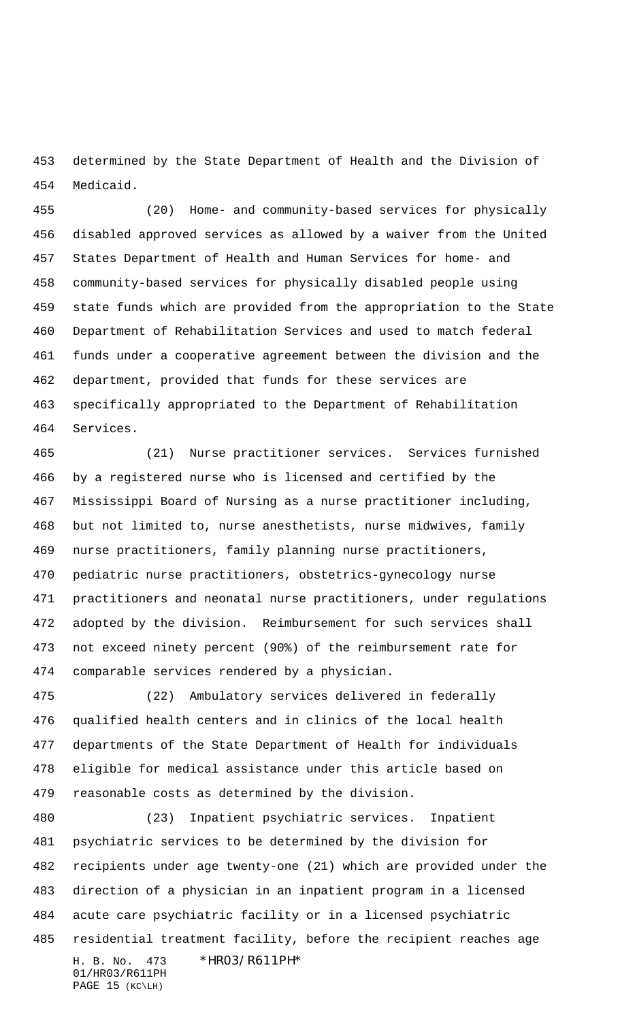determined by the State Department of Health and the Division of Medicaid.

 (20) Home- and community-based services for physically disabled approved services as allowed by a waiver from the United States Department of Health and Human Services for home- and community-based services for physically disabled people using state funds which are provided from the appropriation to the State Department of Rehabilitation Services and used to match federal funds under a cooperative agreement between the division and the department, provided that funds for these services are specifically appropriated to the Department of Rehabilitation Services.

 (21) Nurse practitioner services. Services furnished by a registered nurse who is licensed and certified by the Mississippi Board of Nursing as a nurse practitioner including, but not limited to, nurse anesthetists, nurse midwives, family nurse practitioners, family planning nurse practitioners, pediatric nurse practitioners, obstetrics-gynecology nurse practitioners and neonatal nurse practitioners, under regulations adopted by the division. Reimbursement for such services shall not exceed ninety percent (90%) of the reimbursement rate for comparable services rendered by a physician.

 (22) Ambulatory services delivered in federally qualified health centers and in clinics of the local health departments of the State Department of Health for individuals eligible for medical assistance under this article based on reasonable costs as determined by the division.

H. B. No. 473 \*HR03/R611PH\* (23) Inpatient psychiatric services. Inpatient psychiatric services to be determined by the division for recipients under age twenty-one (21) which are provided under the direction of a physician in an inpatient program in a licensed acute care psychiatric facility or in a licensed psychiatric residential treatment facility, before the recipient reaches age

01/HR03/R611PH PAGE 15 (KC\LH)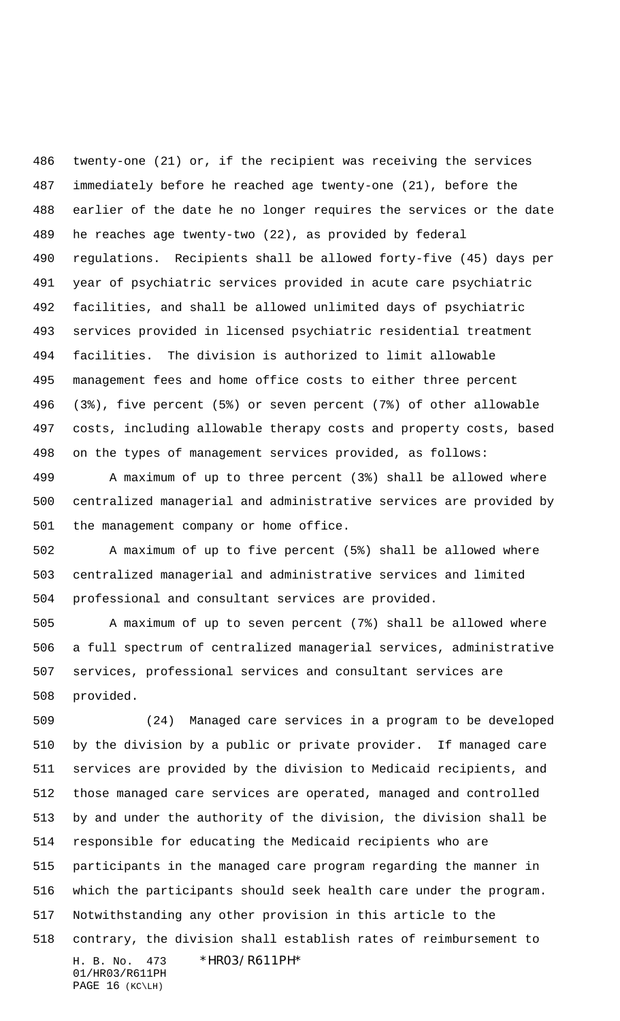twenty-one (21) or, if the recipient was receiving the services immediately before he reached age twenty-one (21), before the earlier of the date he no longer requires the services or the date he reaches age twenty-two (22), as provided by federal regulations. Recipients shall be allowed forty-five (45) days per year of psychiatric services provided in acute care psychiatric facilities, and shall be allowed unlimited days of psychiatric services provided in licensed psychiatric residential treatment facilities. The division is authorized to limit allowable management fees and home office costs to either three percent (3%), five percent (5%) or seven percent (7%) of other allowable costs, including allowable therapy costs and property costs, based on the types of management services provided, as follows:

 A maximum of up to three percent (3%) shall be allowed where centralized managerial and administrative services are provided by the management company or home office.

 A maximum of up to five percent (5%) shall be allowed where centralized managerial and administrative services and limited professional and consultant services are provided.

 A maximum of up to seven percent (7%) shall be allowed where a full spectrum of centralized managerial services, administrative services, professional services and consultant services are provided.

H. B. No. 473 \*HR03/R611PH\* 01/HR03/R611PH PAGE 16 (KC\LH) (24) Managed care services in a program to be developed by the division by a public or private provider. If managed care services are provided by the division to Medicaid recipients, and those managed care services are operated, managed and controlled by and under the authority of the division, the division shall be responsible for educating the Medicaid recipients who are participants in the managed care program regarding the manner in which the participants should seek health care under the program. Notwithstanding any other provision in this article to the contrary, the division shall establish rates of reimbursement to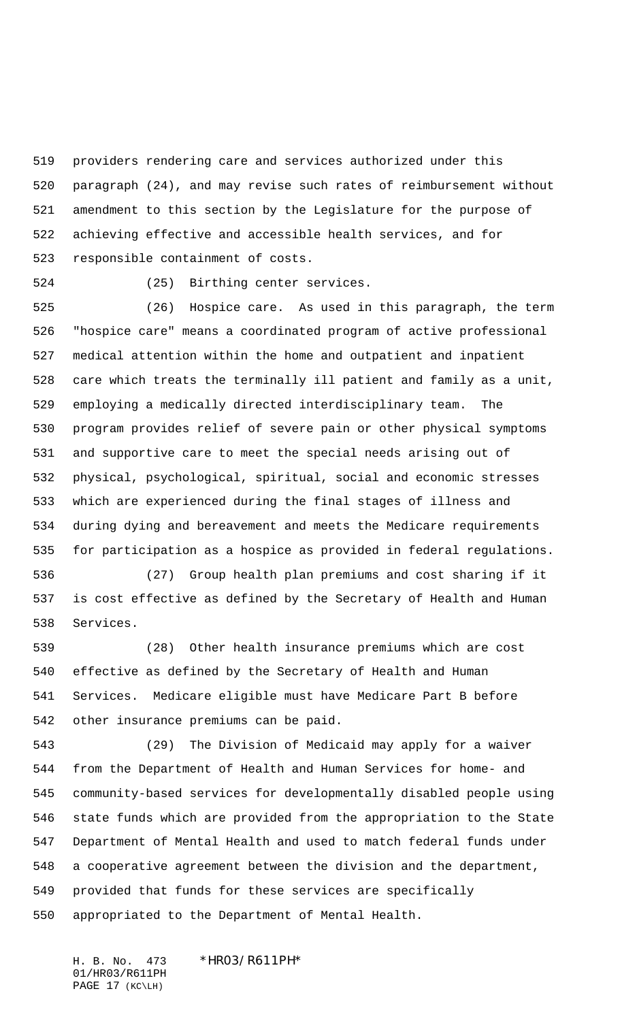providers rendering care and services authorized under this paragraph (24), and may revise such rates of reimbursement without amendment to this section by the Legislature for the purpose of achieving effective and accessible health services, and for responsible containment of costs.

(25) Birthing center services.

 (26) Hospice care. As used in this paragraph, the term "hospice care" means a coordinated program of active professional medical attention within the home and outpatient and inpatient care which treats the terminally ill patient and family as a unit, employing a medically directed interdisciplinary team. The program provides relief of severe pain or other physical symptoms and supportive care to meet the special needs arising out of physical, psychological, spiritual, social and economic stresses which are experienced during the final stages of illness and during dying and bereavement and meets the Medicare requirements for participation as a hospice as provided in federal regulations.

 (27) Group health plan premiums and cost sharing if it is cost effective as defined by the Secretary of Health and Human Services.

 (28) Other health insurance premiums which are cost effective as defined by the Secretary of Health and Human Services. Medicare eligible must have Medicare Part B before other insurance premiums can be paid.

 (29) The Division of Medicaid may apply for a waiver from the Department of Health and Human Services for home- and community-based services for developmentally disabled people using state funds which are provided from the appropriation to the State Department of Mental Health and used to match federal funds under a cooperative agreement between the division and the department, provided that funds for these services are specifically appropriated to the Department of Mental Health.

H. B. No. 473 \*HR03/R611PH\* 01/HR03/R611PH PAGE 17 (KC\LH)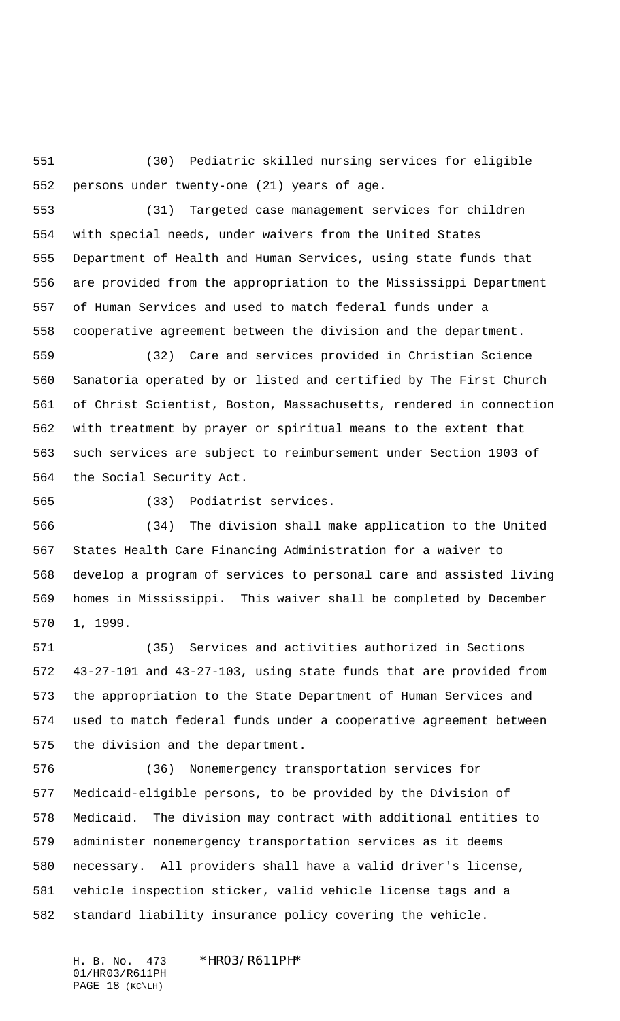(30) Pediatric skilled nursing services for eligible persons under twenty-one (21) years of age.

 (31) Targeted case management services for children with special needs, under waivers from the United States Department of Health and Human Services, using state funds that are provided from the appropriation to the Mississippi Department of Human Services and used to match federal funds under a cooperative agreement between the division and the department.

 (32) Care and services provided in Christian Science Sanatoria operated by or listed and certified by The First Church of Christ Scientist, Boston, Massachusetts, rendered in connection with treatment by prayer or spiritual means to the extent that such services are subject to reimbursement under Section 1903 of the Social Security Act.

(33) Podiatrist services.

 (34) The division shall make application to the United States Health Care Financing Administration for a waiver to develop a program of services to personal care and assisted living homes in Mississippi. This waiver shall be completed by December 1, 1999.

 (35) Services and activities authorized in Sections 43-27-101 and 43-27-103, using state funds that are provided from the appropriation to the State Department of Human Services and used to match federal funds under a cooperative agreement between the division and the department.

 (36) Nonemergency transportation services for Medicaid-eligible persons, to be provided by the Division of Medicaid. The division may contract with additional entities to administer nonemergency transportation services as it deems necessary. All providers shall have a valid driver's license, vehicle inspection sticker, valid vehicle license tags and a standard liability insurance policy covering the vehicle.

H. B. No. 473 \*HR03/R611PH\* 01/HR03/R611PH PAGE 18 (KC\LH)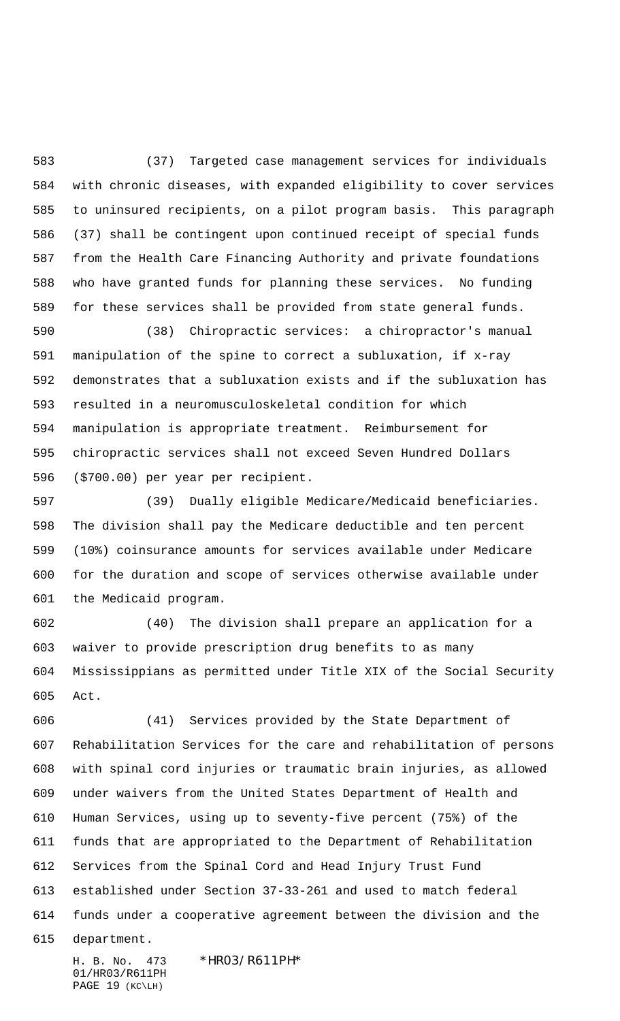(37) Targeted case management services for individuals with chronic diseases, with expanded eligibility to cover services to uninsured recipients, on a pilot program basis. This paragraph (37) shall be contingent upon continued receipt of special funds from the Health Care Financing Authority and private foundations who have granted funds for planning these services. No funding for these services shall be provided from state general funds.

 (38) Chiropractic services: a chiropractor's manual manipulation of the spine to correct a subluxation, if x-ray demonstrates that a subluxation exists and if the subluxation has resulted in a neuromusculoskeletal condition for which manipulation is appropriate treatment. Reimbursement for chiropractic services shall not exceed Seven Hundred Dollars (\$700.00) per year per recipient.

 (39) Dually eligible Medicare/Medicaid beneficiaries. The division shall pay the Medicare deductible and ten percent (10%) coinsurance amounts for services available under Medicare for the duration and scope of services otherwise available under the Medicaid program.

 (40) The division shall prepare an application for a waiver to provide prescription drug benefits to as many Mississippians as permitted under Title XIX of the Social Security Act.

 (41) Services provided by the State Department of Rehabilitation Services for the care and rehabilitation of persons with spinal cord injuries or traumatic brain injuries, as allowed under waivers from the United States Department of Health and Human Services, using up to seventy-five percent (75%) of the funds that are appropriated to the Department of Rehabilitation Services from the Spinal Cord and Head Injury Trust Fund established under Section 37-33-261 and used to match federal funds under a cooperative agreement between the division and the

department.

H. B. No. 473 \*HR03/R611PH\* 01/HR03/R611PH PAGE 19 (KC\LH)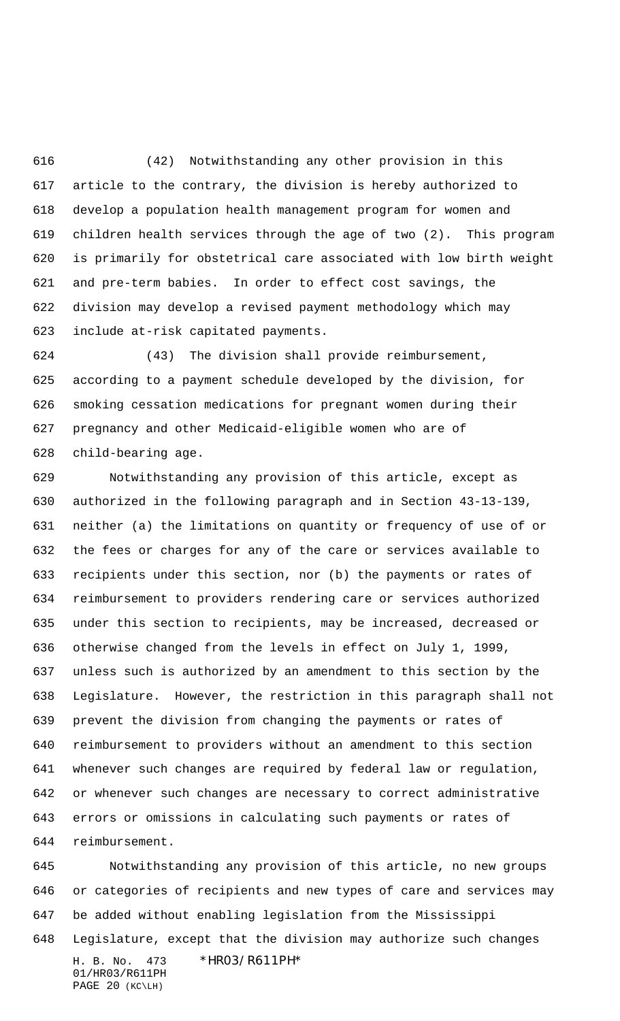(42) Notwithstanding any other provision in this article to the contrary, the division is hereby authorized to develop a population health management program for women and children health services through the age of two (2). This program is primarily for obstetrical care associated with low birth weight and pre-term babies. In order to effect cost savings, the division may develop a revised payment methodology which may include at-risk capitated payments.

 (43) The division shall provide reimbursement, according to a payment schedule developed by the division, for smoking cessation medications for pregnant women during their pregnancy and other Medicaid-eligible women who are of child-bearing age.

 Notwithstanding any provision of this article, except as authorized in the following paragraph and in Section 43-13-139, neither (a) the limitations on quantity or frequency of use of or the fees or charges for any of the care or services available to recipients under this section, nor (b) the payments or rates of reimbursement to providers rendering care or services authorized under this section to recipients, may be increased, decreased or otherwise changed from the levels in effect on July 1, 1999, unless such is authorized by an amendment to this section by the Legislature. However, the restriction in this paragraph shall not prevent the division from changing the payments or rates of reimbursement to providers without an amendment to this section whenever such changes are required by federal law or regulation, or whenever such changes are necessary to correct administrative errors or omissions in calculating such payments or rates of reimbursement.

H. B. No. 473 \*HR03/R611PH\* 01/HR03/R611PH Notwithstanding any provision of this article, no new groups or categories of recipients and new types of care and services may be added without enabling legislation from the Mississippi Legislature, except that the division may authorize such changes

```
PAGE 20 (KC\LH)
```